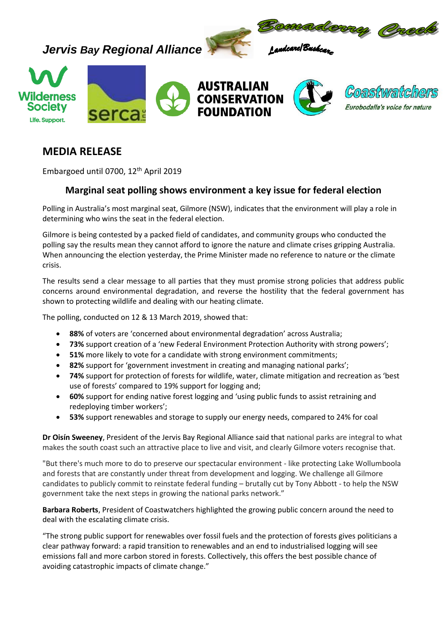

## **MEDIA RELEASE**

Embargoed until 0700, 12 th April 2019

## **Marginal seat polling shows environment a key issue for federal election**

Polling in Australia's most marginal seat, Gilmore (NSW), indicates that the environment will play a role in determining who wins the seat in the federal election.

Gilmore is being contested by a packed field of candidates, and community groups who conducted the polling say the results mean they cannot afford to ignore the nature and climate crises gripping Australia. When announcing the election yesterday, the Prime Minister made no reference to nature or the climate crisis.

The results send a clear message to all parties that they must promise strong policies that address public concerns around environmental degradation, and reverse the hostility that the federal government has shown to protecting wildlife and dealing with our heating climate.

The polling, conducted on 12 & 13 March 2019, showed that:

- **88%** of voters are 'concerned about environmental degradation' across Australia;
- **73%** support creation of a 'new Federal Environment Protection Authority with strong powers';
- **51%** more likely to vote for a candidate with strong environment commitments;
- **82%** support for 'government investment in creating and managing national parks';
- **74%** support for protection of forests for wildlife, water, climate mitigation and recreation as 'best use of forests' compared to 19% support for logging and;
- **60%** support for ending native forest logging and 'using public funds to assist retraining and redeploying timber workers';
- **53%** support renewables and storage to supply our energy needs, compared to 24% for coal

**Dr Oisín Sweeney**, President of the Jervis Bay Regional Alliance said that national parks are integral to what makes the south coast such an attractive place to live and visit, and clearly Gilmore voters recognise that.

"But there's much more to do to preserve our spectacular environment - like protecting Lake Wollumboola and forests that are constantly under threat from development and logging. We challenge all Gilmore candidates to publicly commit to reinstate federal funding – brutally cut by Tony Abbott - to help the NSW government take the next steps in growing the national parks network."

**Barbara Roberts**, President of Coastwatchers highlighted the growing public concern around the need to deal with the escalating climate crisis.

"The strong public support for renewables over fossil fuels and the protection of forests gives politicians a clear pathway forward: a rapid transition to renewables and an end to industrialised logging will see emissions fall and more carbon stored in forests. Collectively, this offers the best possible chance of avoiding catastrophic impacts of climate change."